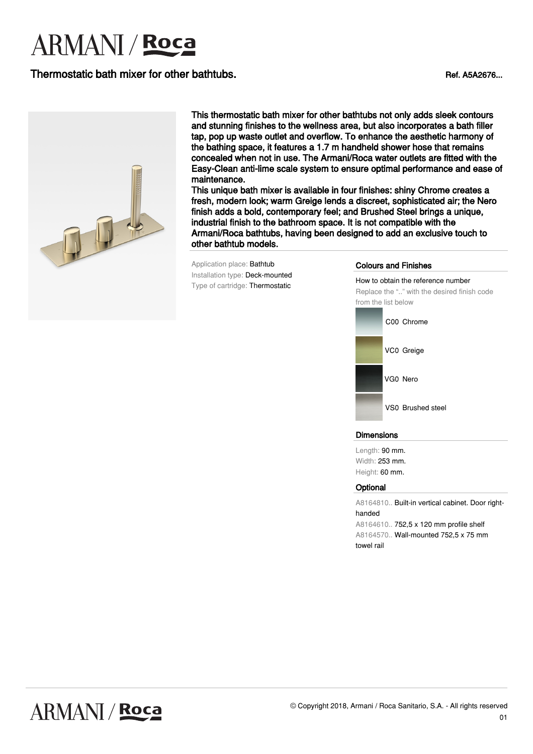## Thermostatic bath mixer for other bathtubs.<br>
Ref. A5A2676...



This thermostatic bath mixer for other bathtubs not only adds sleek contours and stunning finishes to the wellness area, but also incorporates a bath filler tap, pop up waste outlet and overflow. To enhance the aesthetic harmony of the bathing space, it features a 1.7 m handheld shower hose that remains concealed when not in use. The Armani/Roca water outlets are fitted with the Easy-Clean anti-lime scale system to ensure optimal performance and ease of maintenance.

This unique bath mixer is available in four finishes: shiny Chrome creates a fresh, modern look; warm Greige lends a discreet, sophisticated air; the Nero finish adds a bold, contemporary feel; and Brushed Steel brings a unique, industrial finish to the bathroom space. It is not compatible with the Armani/Roca bathtubs, having been designed to add an exclusive touch to other bathtub models.

Application place: Bathtub Installation type: Deck-mounted Type of cartridge: Thermostatic

### Colours and Finishes

How to obtain the reference number Replace the ".." with the desired finish code from the list below



#### Dimensions

Length: 90 mm. Width: 253 mm. Height: 60 mm.

#### **Optional**

A8164810.. Built-in vertical cabinet. Door righthanded A8164610.. 752,5 x 120 mm profile shelf A8164570.. Wall-mounted 752,5 x 75 mm towel rail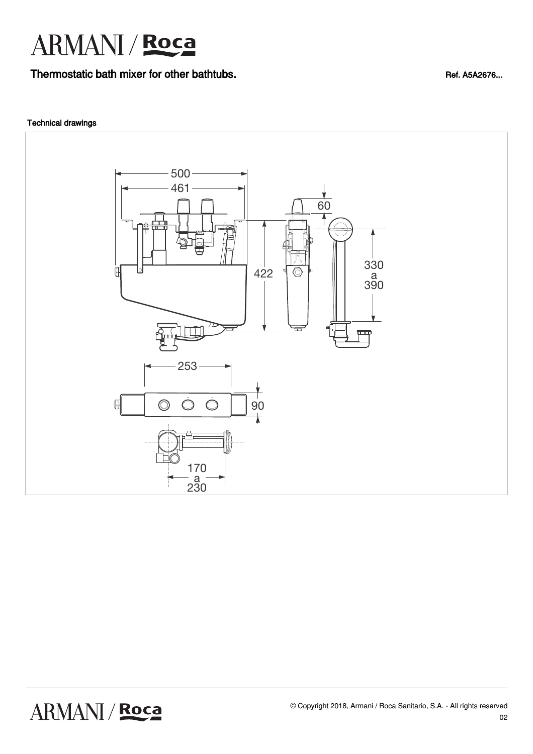Thermostatic bath mixer for other bathtubs.<br>
Ref. A5A2676...

### Technical drawings



ARMANI / Roca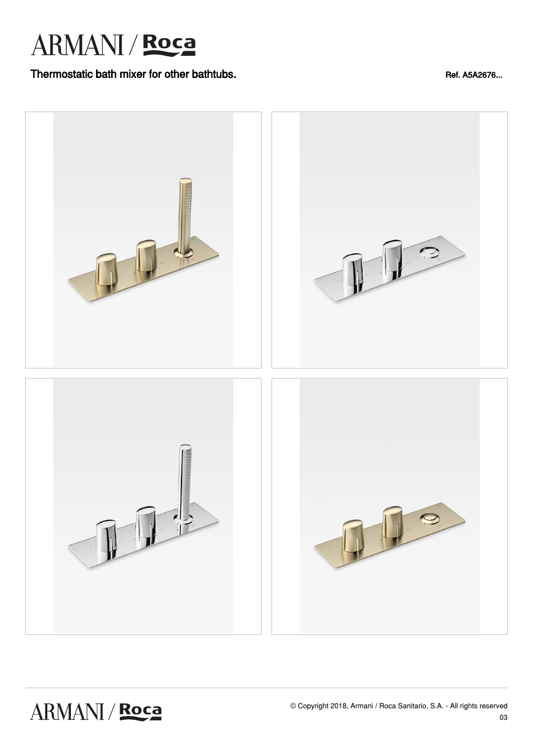## Thermostatic bath mixer for other bathtubs.<br>
Ref. A5A2676...